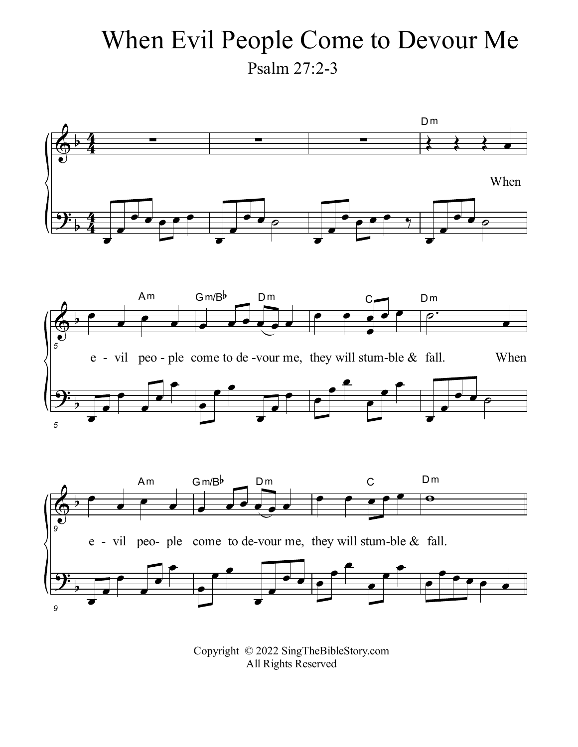## When Evil People Come to Devour Me Psalm 27:2-3



Copyright © 2022 SingTheBibleStory.com All Rights Reserved